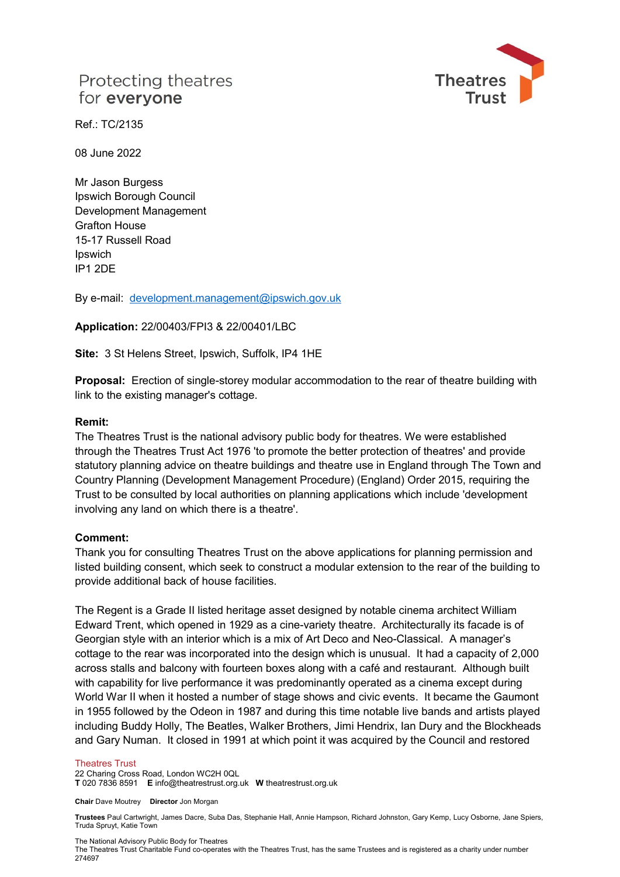# Protecting theatres for everyone



Ref.: TC/2135

08 June 2022

Mr Jason Burgess Ipswich Borough Council Development Management Grafton House 15-17 Russell Road Ipswich IP1 2DE

By e-mail: [development.management@ipswich.gov.uk](mailto:development.management@ipswich.gov.uk) 

**Application:** 22/00403/FPI3 & 22/00401/LBC

**Site:** 3 St Helens Street, Ipswich, Suffolk, IP4 1HE

**Proposal:** Erection of single-storey modular accommodation to the rear of theatre building with link to the existing manager's cottage.

### **Remit:**

The Theatres Trust is the national advisory public body for theatres. We were established through the Theatres Trust Act 1976 'to promote the better protection of theatres' and provide statutory planning advice on theatre buildings and theatre use in England through The Town and Country Planning (Development Management Procedure) (England) Order 2015, requiring the Trust to be consulted by local authorities on planning applications which include 'development involving any land on which there is a theatre'.

### **Comment:**

Thank you for consulting Theatres Trust on the above applications for planning permission and listed building consent, which seek to construct a modular extension to the rear of the building to provide additional back of house facilities.

The Regent is a Grade II listed heritage asset designed by notable cinema architect William Edward Trent, which opened in 1929 as a cine-variety theatre. Architecturally its facade is of Georgian style with an interior which is a mix of Art Deco and Neo-Classical. A manager's cottage to the rear was incorporated into the design which is unusual. It had a capacity of 2,000 across stalls and balcony with fourteen boxes along with a café and restaurant. Although built with capability for live performance it was predominantly operated as a cinema except during World War II when it hosted a number of stage shows and civic events. It became the Gaumont in 1955 followed by the Odeon in 1987 and during this time notable live bands and artists played including Buddy Holly, The Beatles, Walker Brothers, Jimi Hendrix, Ian Dury and the Blockheads and Gary Numan. It closed in 1991 at which point it was acquired by the Council and restored

#### Theatres Trust

22 Charing Cross Road, London WC2H 0QL **T** 020 7836 8591 **E** info@theatrestrust.org.uk **W** theatrestrust.org.uk

**Chair** Dave Moutrey **Director** Jon Morgan

**Trustees** Paul Cartwright, James Dacre, Suba Das, Stephanie Hall, Annie Hampson, Richard Johnston, Gary Kemp, Lucy Osborne, Jane Spiers, Truda Spruyt, Katie Town

The National Advisory Public Body for Theatres

The Theatres Trust Charitable Fund co-operates with the Theatres Trust, has the same Trustees and is registered as a charity under number 274697